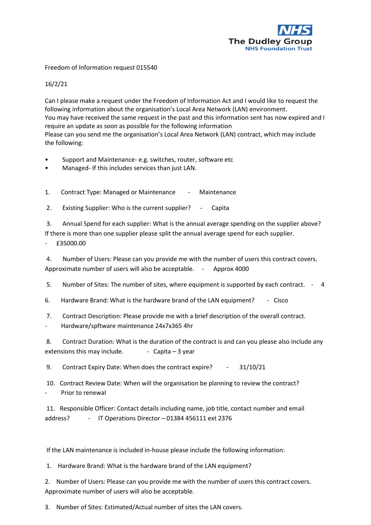

Freedom of Information request 015540

16/2/21

Can I please make a request under the Freedom of Information Act and I would like to request the following information about the organisation's Local Area Network (LAN) environment. You may have received the same request in the past and this information sent has now expired and I require an update as soon as possible for the following information Please can you send me the organisation's Local Area Network (LAN) contract, which may include the following:

- Support and Maintenance- e.g. switches, router, software etc
- Managed- If this includes services than just LAN.

1. Contract Type: Managed or Maintenance - Maintenance

2. Existing Supplier: Who is the current supplier? - Capita

3. Annual Spend for each supplier: What is the annual average spending on the supplier above? If there is more than one supplier please split the annual average spend for each supplier.

- £35000.00

4. Number of Users: Please can you provide me with the number of users this contract covers. Approximate number of users will also be acceptable. - Approx 4000

5. Number of Sites: The number of sites, where equipment is supported by each contract. - 4

6. Hardware Brand: What is the hardware brand of the LAN equipment? - Cisco

7. Contract Description: Please provide me with a brief description of the overall contract.

- Hardware/spftware maintenance 24x7x365 4hr

8. Contract Duration: What is the duration of the contract is and can you please also include any extensions this may include.  $\qquad -$  Capita – 3 year

9. Contract Expiry Date: When does the contract expire? - 31/10/21

10. Contract Review Date: When will the organisation be planning to review the contract? Prior to renewal

11. Responsible Officer: Contact details including name, job title, contact number and email address? - IT Operations Director - 01384 456111 ext 2376

If the LAN maintenance is included in-house please include the following information:

1. Hardware Brand: What is the hardware brand of the LAN equipment?

2. Number of Users: Please can you provide me with the number of users this contract covers. Approximate number of users will also be acceptable.

3. Number of Sites: Estimated/Actual number of sites the LAN covers.